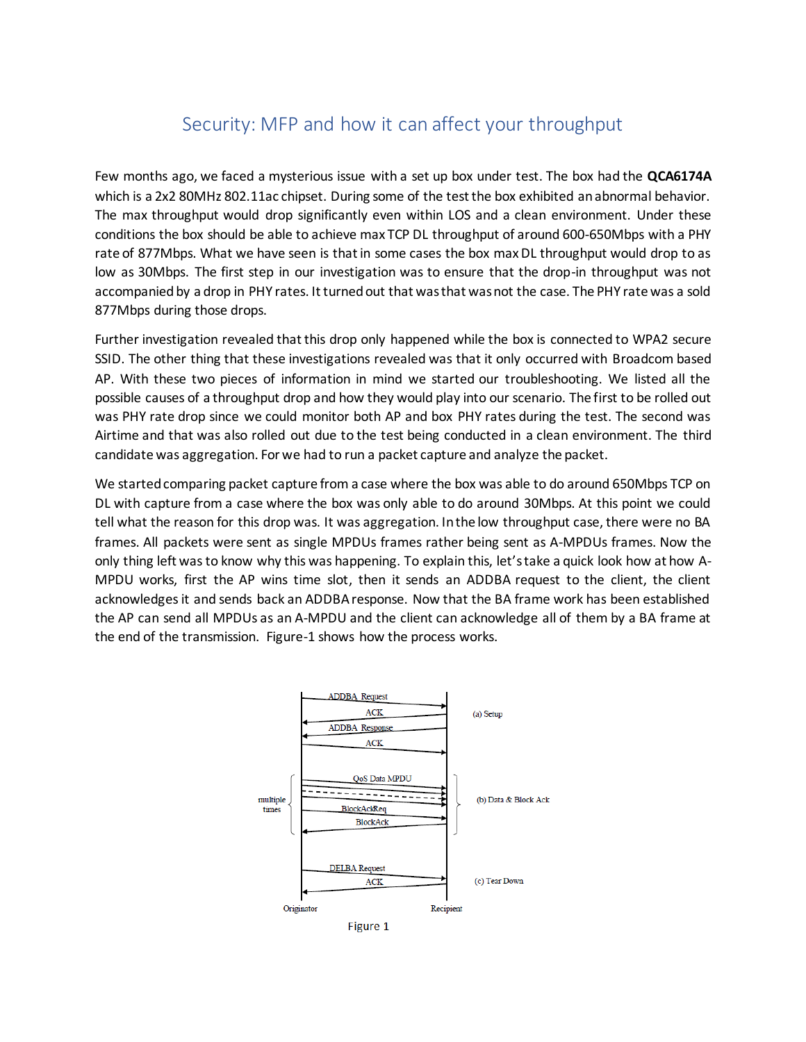## Security: MFP and how it can affect your throughput

Few months ago, we faced a mysterious issue with a set up box under test. The box had the **QCA6174A**  which is a 2x2 80MHz 802.11ac chipset. During some of the test the box exhibited an abnormal behavior. The max throughput would drop significantly even within LOS and a clean environment. Under these conditions the box should be able to achieve max TCP DL throughput of around 600-650Mbps with a PHY rate of 877Mbps. What we have seen is that in some cases the box max DL throughput would drop to as low as 30Mbps. The first step in our investigation was to ensure that the drop-in throughput was not accompanied by a drop in PHY rates. It turned out that was that was not the case. The PHY rate was a sold 877Mbps during those drops.

Further investigation revealed that this drop only happened while the box is connected to WPA2 secure SSID. The other thing that these investigations revealed was that it only occurred with Broadcom based AP. With these two pieces of information in mind we started our troubleshooting. We listed all the possible causes of a throughput drop and how they would play into our scenario. The first to be rolled out was PHY rate drop since we could monitor both AP and box PHY rates during the test. The second was Airtime and that was also rolled out due to the test being conducted in a clean environment. The third candidate was aggregation. For we had to run a packet capture and analyze the packet.

We started comparing packet capture from a case where the box was able to do around 650Mbps TCP on DL with capture from a case where the box was only able to do around 30Mbps. At this point we could tell what the reason for this drop was. It was aggregation. In the low throughput case, there were no BA frames. All packets were sent as single MPDUs frames rather being sent as A-MPDUs frames. Now the only thing left was to know why this was happening. To explain this, let'stake a quick look how at how A-MPDU works, first the AP wins time slot, then it sends an ADDBA request to the client, the client acknowledges it and sends back an ADDBA response. Now that the BA frame work has been established the AP can send all MPDUs as an A-MPDU and the client can acknowledge all of them by a BA frame at the end of the transmission. Figure-1 shows how the process works.